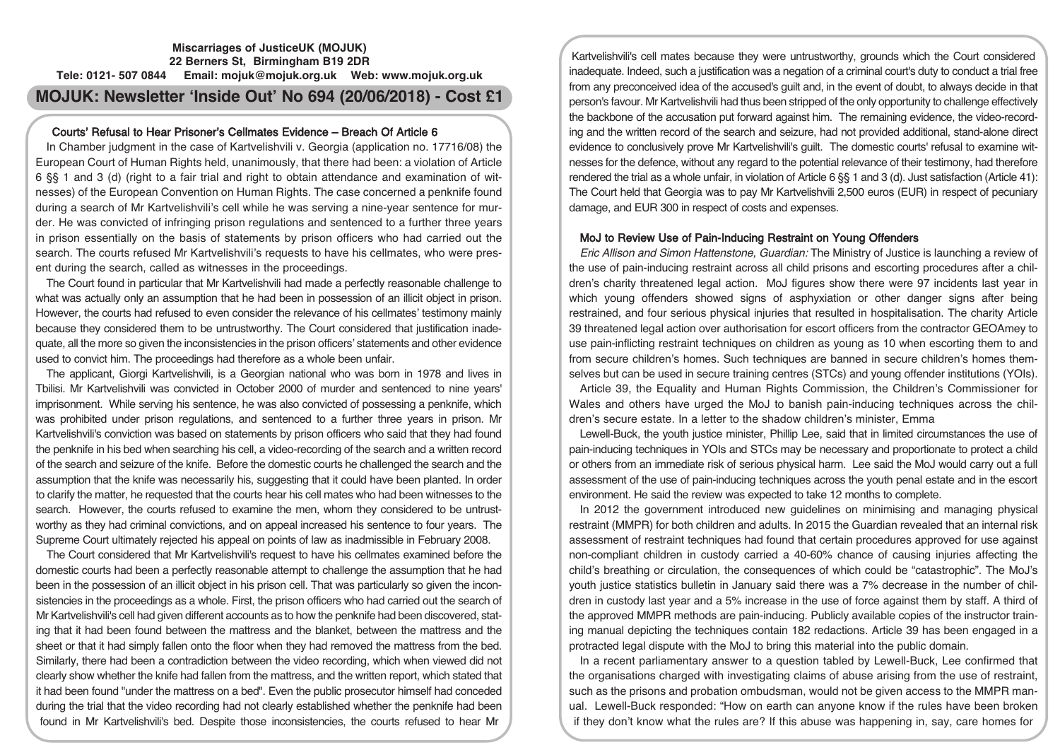## **Miscarriages of JusticeUK (MOJUK) 22 Berners St, Birmingham B19 2DR Tele: 0121- 507 0844 Email: mojuk@mojuk.org.uk Web: www.mojuk.org.uk MOJUK: Newsletter 'Inside Out' No 694 (20/06/2018) - Cost £1**

# Courts' Refusal to Hear Prisoner's Cellmates Evidence – Breach Of Article 6

In Chamber judgment in the case of Kartvelishvili v. Georgia (application no. 17716/08) the European Court of Human Rights held, unanimously, that there had been: a violation of Article 6 §§ 1 and 3 (d) (right to a fair trial and right to obtain attendance and examination of witnesses) of the European Convention on Human Rights. The case concerned a penknife found during a search of Mr Kartvelishvili's cell while he was serving a nine-year sentence for murder. He was convicted of infringing prison regulations and sentenced to a further three years in prison essentially on the basis of statements by prison officers who had carried out the search. The courts refused Mr Kartvelishvili's requests to have his cellmates, who were present during the search, called as witnesses in the proceedings.

The Court found in particular that Mr Kartvelishvili had made a perfectly reasonable challenge to what was actually only an assumption that he had been in possession of an illicit object in prison. However, the courts had refused to even consider the relevance of his cellmates' testimony mainly because they considered them to be untrustworthy. The Court considered that justification inadequate, all the more so given the inconsistencies in the prison officers' statements and other evidence used to convict him. The proceedings had therefore as a whole been unfair.

The applicant, Giorgi Kartvelishvili, is a Georgian national who was born in 1978 and lives in Tbilisi. Mr Kartvelishvili was convicted in October 2000 of murder and sentenced to nine years' imprisonment. While serving his sentence, he was also convicted of possessing a penknife, which was prohibited under prison regulations, and sentenced to a further three years in prison. Mr Kartvelishvili's conviction was based on statements by prison officers who said that they had found the penknife in his bed when searching his cell, a video-recording of the search and a written record of the search and seizure of the knife. Before the domestic courts he challenged the search and the assumption that the knife was necessarily his, suggesting that it could have been planted. In order to clarify the matter, he requested that the courts hear his cell mates who had been witnesses to the search. However, the courts refused to examine the men, whom they considered to be untrustworthy as they had criminal convictions, and on appeal increased his sentence to four years. The Supreme Court ultimately rejected his appeal on points of law as inadmissible in February 2008.

The Court considered that Mr Kartvelishvili's request to have his cellmates examined before the domestic courts had been a perfectly reasonable attempt to challenge the assumption that he had been in the possession of an illicit object in his prison cell. That was particularly so given the inconsistencies in the proceedings as a whole. First, the prison officers who had carried out the search of Mr Kartvelishvili's cell had given different accounts as to how the penknife had been discovered, stating that it had been found between the mattress and the blanket, between the mattress and the sheet or that it had simply fallen onto the floor when they had removed the mattress from the bed. Similarly, there had been a contradiction between the video recording, which when viewed did not clearly show whether the knife had fallen from the mattress, and the written report, which stated that it had been found "under the mattress on a bed". Even the public prosecutor himself had conceded during the trial that the video recording had not clearly established whether the penknife had been found in Mr Kartvelishvili's bed. Despite those inconsistencies, the courts refused to hear Mr

Kartvelishvili's cell mates because they were untrustworthy, grounds which the Court considered inadequate. Indeed, such a justification was a negation of a criminal court's duty to conduct a trial free from any preconceived idea of the accused's guilt and, in the event of doubt, to always decide in that person's favour. Mr Kartvelishvili had thus been stripped of the only opportunity to challenge effectively the backbone of the accusation put forward against him. The remaining evidence, the video-recording and the written record of the search and seizure, had not provided additional, stand-alone direct evidence to conclusively prove Mr Kartvelishvili's guilt. The domestic courts' refusal to examine witnesses for the defence, without any regard to the potential relevance of their testimony, had therefore rendered the trial as a whole unfair, in violation of Article 6 §§ 1 and 3 (d). Just satisfaction (Article 41): The Court held that Georgia was to pay Mr Kartvelishvili 2,500 euros (EUR) in respect of pecuniary damage, and EUR 300 in respect of costs and expenses.

## MoJ to Review Use of Pain-Inducing Restraint on Young Offenders

Eric Allison and Simon Hattenstone, Guardian: The Ministry of Justice is launching a review of the use of pain-inducing restraint across all child prisons and escorting procedures after a children's charity threatened legal action. MoJ figures show there were 97 incidents last year in which young offenders showed signs of asphyxiation or other danger signs after being restrained, and four serious physical injuries that resulted in hospitalisation. The charity Article 39 threatened legal action over authorisation for escort officers from the contractor GEOAmey to use pain-inflicting restraint techniques on children as young as 10 when escorting them to and from secure children's homes. Such techniques are banned in secure children's homes themselves but can be used in secure training centres (STCs) and young offender institutions (YOIs).

Article 39, the Equality and Human Rights Commission, the Children's Commissioner for Wales and others have urged the MoJ to banish pain-inducing techniques across the children's secure estate. In a letter to the shadow children's minister, Emma

Lewell-Buck, the youth justice minister, Phillip Lee, said that in limited circumstances the use of pain-inducing techniques in YOIs and STCs may be necessary and proportionate to protect a child or others from an immediate risk of serious physical harm. Lee said the MoJ would carry out a full assessment of the use of pain-inducing techniques across the youth penal estate and in the escort environment. He said the review was expected to take 12 months to complete.

In 2012 the government introduced new guidelines on minimising and managing physical restraint (MMPR) for both children and adults. In 2015 the Guardian revealed that an internal risk assessment of restraint techniques had found that certain procedures approved for use against non-compliant children in custody carried a 40-60% chance of causing injuries affecting the child's breathing or circulation, the consequences of which could be "catastrophic". The MoJ's youth justice statistics bulletin in January said there was a 7% decrease in the number of children in custody last year and a 5% increase in the use of force against them by staff. A third of the approved MMPR methods are pain-inducing. Publicly available copies of the instructor training manual depicting the techniques contain 182 redactions. Article 39 has been engaged in a protracted legal dispute with the MoJ to bring this material into the public domain.

In a recent parliamentary answer to a question tabled by Lewell-Buck, Lee confirmed that the organisations charged with investigating claims of abuse arising from the use of restraint, such as the prisons and probation ombudsman, would not be given access to the MMPR manual. Lewell-Buck responded: "How on earth can anyone know if the rules have been broken if they don't know what the rules are? If this abuse was happening in, say, care homes for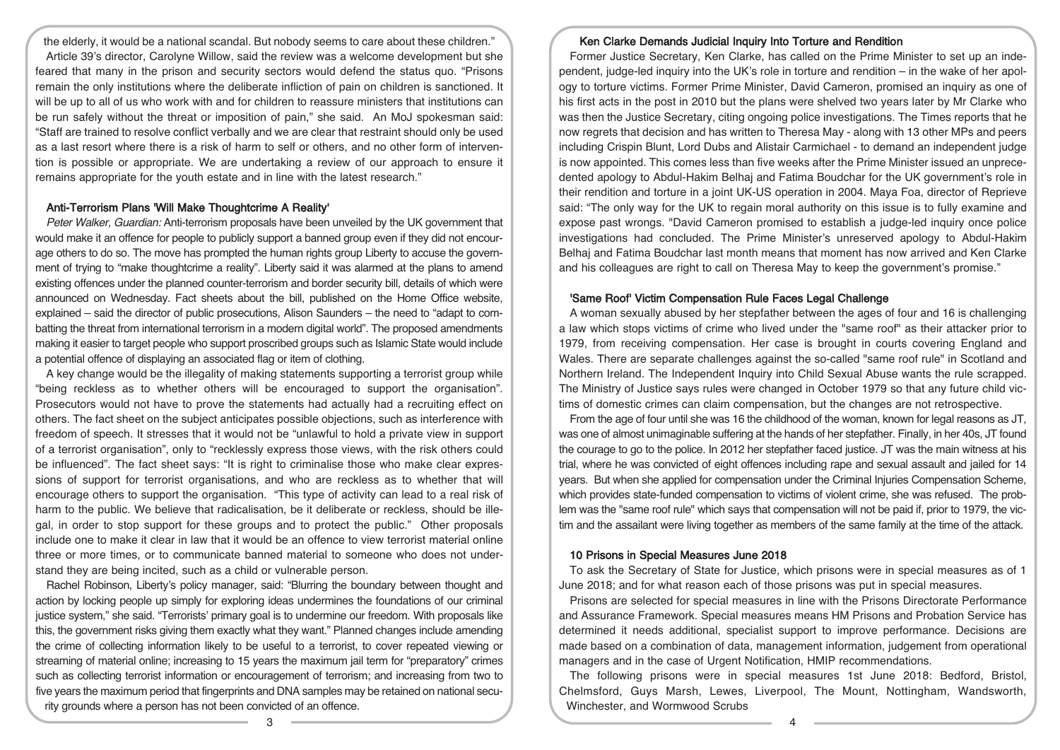the elderly, it would be a national scandal. But nobody seems to care about these children." Article 39's director, Carolyne Willow, said the review was a welcome development but she feared that many in the prison and security sectors would defend the status quo. "Prisons remain the only institutions where the deliberate infliction of pain on children is sanctioned. It will be up to all of us who work with and for children to reassure ministers that institutions can be run safely without the threat or imposition of pain," she said. An MoJ spokesman said: "Staff are trained to resolve conflict verbally and we are clear that restraint should only be used as a last resort where there is a risk of harm to self or others, and no other form of intervention is possible or appropriate. We are undertaking a review of our approach to ensure it remains appropriate for the youth estate and in line with the latest research."

#### Anti-Terrorism Plans 'Will Make Thoughtcrime A Reality'

Peter Walker, Guardian: Anti-terrorism proposals have been unveiled by the UK government that would make it an offence for people to publicly support a banned group even if they did not encourage others to do so. The move has prompted the human rights group Liberty to accuse the government of trying to "make thoughtcrime a reality". Liberty said it was alarmed at the plans to amend existing offences under the planned counter-terrorism and border security bill, details of which were announced on Wednesday. Fact sheets about the bill, published on the Home Office website, explained – said the director of public prosecutions, Alison Saunders – the need to "adapt to combatting the threat from international terrorism in a modern digital world". The proposed amendments making it easier to target people who support proscribed groups such as Islamic State would include a potential offence of displaying an associated flag or item of clothing.

A key change would be the illegality of making statements supporting a terrorist group while "being reckless as to whether others will be encouraged to support the organisation". Prosecutors would not have to prove the statements had actually had a recruiting effect on others. The fact sheet on the subject anticipates possible objections, such as interference with freedom of speech. It stresses that it would not be "unlawful to hold a private view in support of a terrorist organisation", only to "recklessly express those views, with the risk others could be influenced". The fact sheet says: "It is right to criminalise those who make clear expressions of support for terrorist organisations, and who are reckless as to whether that will encourage others to support the organisation. "This type of activity can lead to a real risk of harm to the public. We believe that radicalisation, be it deliberate or reckless, should be illegal, in order to stop support for these groups and to protect the public." Other proposals include one to make it clear in law that it would be an offence to view terrorist material online three or more times, or to communicate banned material to someone who does not understand they are being incited, such as a child or vulnerable person.

Rachel Robinson, Liberty's policy manager, said: "Blurring the boundary between thought and action by locking people up simply for exploring ideas undermines the foundations of our criminal justice system," she said. "Terrorists' primary goal is to undermine our freedom. With proposals like this, the government risks giving them exactly what they want." Planned changes include amending the crime of collecting information likely to be useful to a terrorist, to cover repeated viewing or streaming of material online; increasing to 15 years the maximum jail term for "preparatory" crimes such as collecting terrorist information or encouragement of terrorism; and increasing from two to five years the maximum period that fingerprints and DNA samples may be retained on national security grounds where a person has not been convicted of an offence.

## Ken Clarke Demands Judicial Inquiry Into Torture and Rendition

Former Justice Secretary, Ken Clarke, has called on the Prime Minister to set up an independent, judge-led inquiry into the UK's role in torture and rendition – in the wake of her apology to torture victims. Former Prime Minister, David Cameron, promised an inquiry as one of his first acts in the post in 2010 but the plans were shelved two years later by Mr Clarke who was then the Justice Secretary, citing ongoing police investigations. The Times reports that he now regrets that decision and has written to Theresa May - along with 13 other MPs and peers including Crispin Blunt, Lord Dubs and Alistair Carmichael - to demand an independent judge is now appointed. This comes less than five weeks after the Prime Minister issued an unprecedented apology to Abdul-Hakim Belhaj and Fatima Boudchar for the UK government's role in their rendition and torture in a joint UK-US operation in 2004. Maya Foa, director of Reprieve said: "The only way for the UK to regain moral authority on this issue is to fully examine and expose past wrongs. "David Cameron promised to establish a judge-led inquiry once police investigations had concluded. The Prime Minister's unreserved apology to Abdul-Hakim Belhaj and Fatima Boudchar last month means that moment has now arrived and Ken Clarke and his colleagues are right to call on Theresa May to keep the government's promise."

### 'Same Roof' Victim Compensation Rule Faces Legal Challenge

A woman sexually abused by her stepfather between the ages of four and 16 is challenging a law which stops victims of crime who lived under the "same roof" as their attacker prior to 1979, from receiving compensation. Her case is brought in courts covering England and Wales. There are separate challenges against the so-called "same roof rule" in Scotland and Northern Ireland. The Independent Inquiry into Child Sexual Abuse wants the rule scrapped. The Ministry of Justice says rules were changed in October 1979 so that any future child victims of domestic crimes can claim compensation, but the changes are not retrospective.

From the age of four until she was 16 the childhood of the woman, known for legal reasons as JT, was one of almost unimaginable suffering at the hands of her stepfather. Finally, in her 40s, JT found the courage to go to the police. In 2012 her stepfather faced justice. JT was the main witness at his trial, where he was convicted of eight offences including rape and sexual assault and jailed for 14 years. But when she applied for compensation under the Criminal Injuries Compensation Scheme, which provides state-funded compensation to victims of violent crime, she was refused. The problem was the "same roof rule" which says that compensation will not be paid if, prior to 1979, the victim and the assailant were living together as members of the same family at the time of the attack.

## 10 Prisons in Special Measures June 2018

To ask the Secretary of State for Justice, which prisons were in special measures as of 1 June 2018; and for what reason each of those prisons was put in special measures.

Prisons are selected for special measures in line with the Prisons Directorate Performance and Assurance Framework. Special measures means HM Prisons and Probation Service has determined it needs additional, specialist support to improve performance. Decisions are made based on a combination of data, management information, judgement from operational managers and in the case of Urgent Notification, HMIP recommendations.

The following prisons were in special measures 1st June 2018: Bedford, Bristol, Chelmsford, Guys Marsh, Lewes, Liverpool, The Mount, Nottingham, Wandsworth, Winchester, and Wormwood Scrubs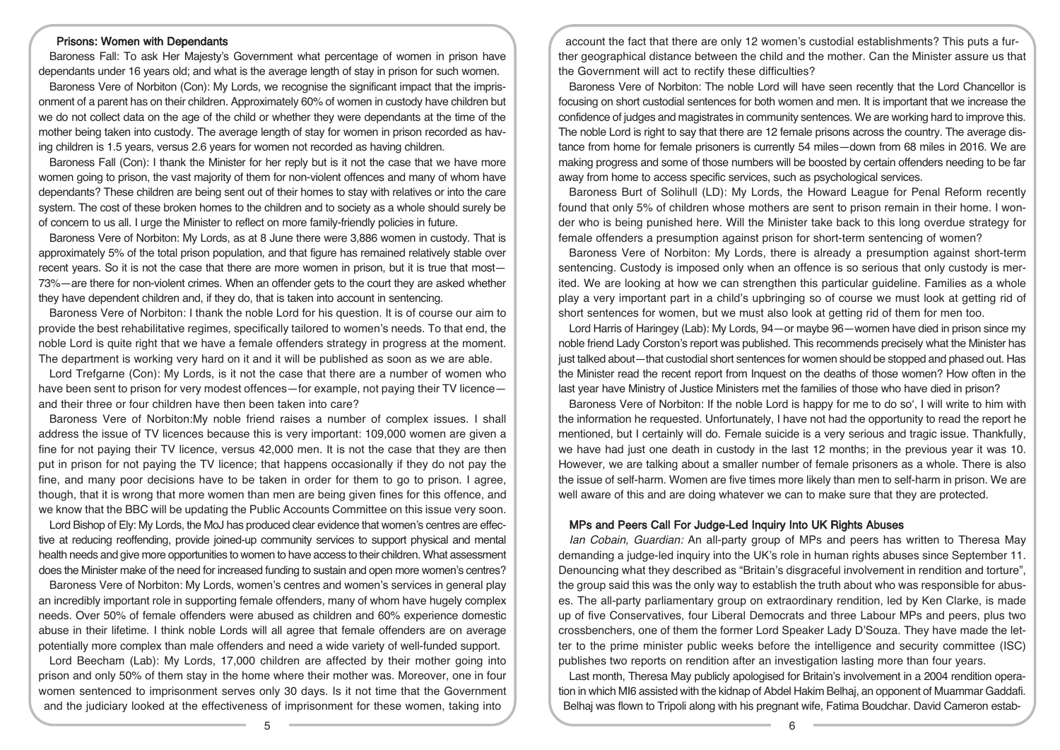## Prisons: Women with Dependants

Baroness Fall: To ask Her Majesty's Government what percentage of women in prison have dependants under 16 years old; and what is the average length of stay in prison for such women.

Baroness Vere of Norbiton (Con): My Lords, we recognise the significant impact that the imprisonment of a parent has on their children. Approximately 60% of women in custody have children but we do not collect data on the age of the child or whether they were dependants at the time of the mother being taken into custody. The average length of stay for women in prison recorded as having children is 1.5 years, versus 2.6 years for women not recorded as having children.

Baroness Fall (Con): I thank the Minister for her reply but is it not the case that we have more women going to prison, the vast majority of them for non-violent offences and many of whom have dependants? These children are being sent out of their homes to stay with relatives or into the care system. The cost of these broken homes to the children and to society as a whole should surely be of concern to us all. I urge the Minister to reflect on more family-friendly policies in future.

Baroness Vere of Norbiton: My Lords, as at 8 June there were 3,886 women in custody. That is approximately 5% of the total prison population, and that figure has remained relatively stable over recent years. So it is not the case that there are more women in prison, but it is true that most— 73%—are there for non-violent crimes. When an offender gets to the court they are asked whether they have dependent children and, if they do, that is taken into account in sentencing.

Baroness Vere of Norbiton: I thank the noble Lord for his question. It is of course our aim to provide the best rehabilitative regimes, specifically tailored to women's needs. To that end, the noble Lord is quite right that we have a female offenders strategy in progress at the moment. The department is working very hard on it and it will be published as soon as we are able.

Lord Trefgarne (Con): My Lords, is it not the case that there are a number of women who have been sent to prison for very modest offences—for example, not paying their TV licence and their three or four children have then been taken into care?

Baroness Vere of Norbiton:My noble friend raises a number of complex issues. I shall address the issue of TV licences because this is very important: 109,000 women are given a fine for not paying their TV licence, versus 42,000 men. It is not the case that they are then put in prison for not paying the TV licence; that happens occasionally if they do not pay the fine, and many poor decisions have to be taken in order for them to go to prison. I agree, though, that it is wrong that more women than men are being given fines for this offence, and we know that the BBC will be updating the Public Accounts Committee on this issue very soon.

Lord Bishop of Ely: My Lords, the MoJ has produced clear evidence that women's centres are effective at reducing reoffending, provide joined-up community services to support physical and mental health needs and give more opportunities to women to have access to their children. What assessment does the Minister make of the need for increased funding to sustain and open more women's centres?

Baroness Vere of Norbiton: My Lords, women's centres and women's services in general play an incredibly important role in supporting female offenders, many of whom have hugely complex needs. Over 50% of female offenders were abused as children and 60% experience domestic abuse in their lifetime. I think noble Lords will all agree that female offenders are on average potentially more complex than male offenders and need a wide variety of well-funded support.

Lord Beecham (Lab): My Lords, 17,000 children are affected by their mother going into prison and only 50% of them stay in the home where their mother was. Moreover, one in four women sentenced to imprisonment serves only 30 days. Is it not time that the Government and the judiciary looked at the effectiveness of imprisonment for these women, taking into

account the fact that there are only 12 women's custodial establishments? This puts a further geographical distance between the child and the mother. Can the Minister assure us that the Government will act to rectify these difficulties?

Baroness Vere of Norbiton: The noble Lord will have seen recently that the Lord Chancellor is focusing on short custodial sentences for both women and men. It is important that we increase the confidence of judges and magistrates in community sentences. We are working hard to improve this. The noble Lord is right to say that there are 12 female prisons across the country. The average distance from home for female prisoners is currently 54 miles—down from 68 miles in 2016. We are making progress and some of those numbers will be boosted by certain offenders needing to be far away from home to access specific services, such as psychological services.

Baroness Burt of Solihull (LD): My Lords, the Howard League for Penal Reform recently found that only 5% of children whose mothers are sent to prison remain in their home. I wonder who is being punished here. Will the Minister take back to this long overdue strategy for female offenders a presumption against prison for short-term sentencing of women?

Baroness Vere of Norbiton: My Lords, there is already a presumption against short-term sentencing. Custody is imposed only when an offence is so serious that only custody is merited. We are looking at how we can strengthen this particular guideline. Families as a whole play a very important part in a child's upbringing so of course we must look at getting rid of short sentences for women, but we must also look at getting rid of them for men too.

Lord Harris of Haringey (Lab): My Lords, 94—or maybe 96—women have died in prison since my noble friend Lady Corston's report was published. This recommends precisely what the Minister has just talked about—that custodial short sentences for women should be stopped and phased out. Has the Minister read the recent report from Inquest on the deaths of those women? How often in the last year have Ministry of Justice Ministers met the families of those who have died in prison?

Baroness Vere of Norbiton: If the noble Lord is happy for me to do so', I will write to him with the information he requested. Unfortunately, I have not had the opportunity to read the report he mentioned, but I certainly will do. Female suicide is a very serious and tragic issue. Thankfully, we have had just one death in custody in the last 12 months; in the previous year it was 10. However, we are talking about a smaller number of female prisoners as a whole. There is also the issue of self-harm. Women are five times more likely than men to self-harm in prison. We are well aware of this and are doing whatever we can to make sure that they are protected.

#### MPs and Peers Call For Judge-Led Inquiry Into UK Rights Abuses

Ian Cobain, Guardian: An all-party group of MPs and peers has written to Theresa May demanding a judge-led inquiry into the UK's role in human rights abuses since September 11. Denouncing what they described as "Britain's disgraceful involvement in rendition and torture", the group said this was the only way to establish the truth about who was responsible for abuses. The all-party parliamentary group on extraordinary rendition, led by Ken Clarke, is made up of five Conservatives, four Liberal Democrats and three Labour MPs and peers, plus two crossbenchers, one of them the former Lord Speaker Lady D'Souza. They have made the letter to the prime minister public weeks before the intelligence and security committee (ISC) publishes two reports on rendition after an investigation lasting more than four years.

Last month, Theresa May publicly apologised for Britain's involvement in a 2004 rendition operation in which MI6 assisted with the kidnap of Abdel Hakim Belhaj, an opponent of Muammar Gaddafi. Belhaj was flown to Tripoli along with his pregnant wife, Fatima Boudchar. David Cameron estab-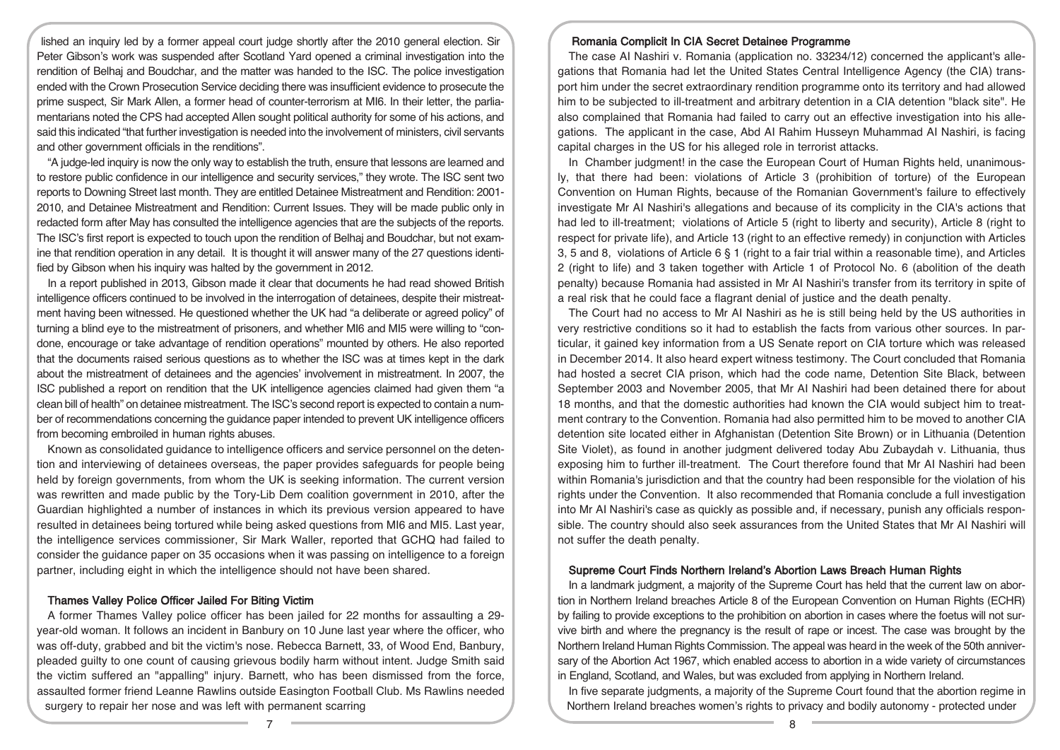lished an inquiry led by a former appeal court judge shortly after the 2010 general election. Sir Peter Gibson's work was suspended after Scotland Yard opened a criminal investigation into the rendition of Belhaj and Boudchar, and the matter was handed to the ISC. The police investigation ended with the Crown Prosecution Service deciding there was insufficient evidence to prosecute the prime suspect, Sir Mark Allen, a former head of counter-terrorism at MI6. In their letter, the parliamentarians noted the CPS had accepted Allen sought political authority for some of his actions, and said this indicated "that further investigation is needed into the involvement of ministers, civil servants and other government officials in the renditions".

"A judge-led inquiry is now the only way to establish the truth, ensure that lessons are learned and to restore public confidence in our intelligence and security services," they wrote. The ISC sent two reports to Downing Street last month. They are entitled Detainee Mistreatment and Rendition: 2001- 2010, and Detainee Mistreatment and Rendition: Current Issues. They will be made public only in redacted form after May has consulted the intelligence agencies that are the subjects of the reports. The ISC's first report is expected to touch upon the rendition of Belhaj and Boudchar, but not examine that rendition operation in any detail. It is thought it will answer many of the 27 questions identified by Gibson when his inquiry was halted by the government in 2012.

In a report published in 2013, Gibson made it clear that documents he had read showed British intelligence officers continued to be involved in the interrogation of detainees, despite their mistreatment having been witnessed. He questioned whether the UK had "a deliberate or agreed policy" of turning a blind eye to the mistreatment of prisoners, and whether MI6 and MI5 were willing to "condone, encourage or take advantage of rendition operations" mounted by others. He also reported that the documents raised serious questions as to whether the ISC was at times kept in the dark about the mistreatment of detainees and the agencies' involvement in mistreatment. In 2007, the ISC published a report on rendition that the UK intelligence agencies claimed had given them "a clean bill of health" on detainee mistreatment. The ISC's second report is expected to contain a number of recommendations concerning the guidance paper intended to prevent UK intelligence officers from becoming embroiled in human rights abuses.

Known as consolidated guidance to intelligence officers and service personnel on the detention and interviewing of detainees overseas, the paper provides safeguards for people being held by foreign governments, from whom the UK is seeking information. The current version was rewritten and made public by the Tory-Lib Dem coalition government in 2010, after the Guardian highlighted a number of instances in which its previous version appeared to have resulted in detainees being tortured while being asked questions from MI6 and MI5. Last year, the intelligence services commissioner, Sir Mark Waller, reported that GCHQ had failed to consider the guidance paper on 35 occasions when it was passing on intelligence to a foreign partner, including eight in which the intelligence should not have been shared.

#### Thames Valley Police Officer Jailed For Biting Victim

A former Thames Valley police officer has been jailed for 22 months for assaulting a 29 year-old woman. It follows an incident in Banbury on 10 June last year where the officer, who was off-duty, grabbed and bit the victim's nose. Rebecca Barnett, 33, of Wood End, Banbury, pleaded guilty to one count of causing grievous bodily harm without intent. Judge Smith said the victim suffered an "appalling" injury. Barnett, who has been dismissed from the force, assaulted former friend Leanne Rawlins outside Easington Football Club. Ms Rawlins needed surgery to repair her nose and was left with permanent scarring

## Romania Complicit In CIA Secret Detainee Programme

The case AI Nashiri v. Romania (application no. 33234/12) concerned the applicant's allegations that Romania had let the United States Central Intelligence Agency (the CIA) transport him under the secret extraordinary rendition programme onto its territory and had allowed him to be subjected to ill-treatment and arbitrary detention in a CIA detention "black site". He also complained that Romania had failed to carry out an effective investigation into his allegations. The applicant in the case, Abd AI Rahim Husseyn Muhammad AI Nashiri, is facing capital charges in the US for his alleged role in terrorist attacks.

In Chamber judgment! in the case the European Court of Human Rights held, unanimously, that there had been: violations of Article 3 (prohibition of torture) of the European Convention on Human Rights, because of the Romanian Government's failure to effectively investigate Mr AI Nashiri's allegations and because of its complicity in the CIA's actions that had led to ill-treatment; violations of Article 5 (right to liberty and security), Article 8 (right to respect for private life), and Article 13 (right to an effective remedy) in conjunction with Articles 3, 5 and 8, violations of Article 6 § 1 (right to a fair trial within a reasonable time), and Articles 2 (right to life) and 3 taken together with Article 1 of Protocol No. 6 (abolition of the death penalty) because Romania had assisted in Mr AI Nashiri's transfer from its territory in spite of a real risk that he could face a flagrant denial of justice and the death penalty.

The Court had no access to Mr AI Nashiri as he is still being held by the US authorities in very restrictive conditions so it had to establish the facts from various other sources. In particular, it gained key information from a US Senate report on CIA torture which was released in December 2014. It also heard expert witness testimony. The Court concluded that Romania had hosted a secret CIA prison, which had the code name, Detention Site Black, between September 2003 and November 2005, that Mr AI Nashiri had been detained there for about 18 months, and that the domestic authorities had known the CIA would subject him to treatment contrary to the Convention. Romania had also permitted him to be moved to another CIA detention site located either in Afghanistan (Detention Site Brown) or in Lithuania (Detention Site Violet), as found in another judgment delivered today Abu Zubaydah v. Lithuania, thus exposing him to further ill-treatment. The Court therefore found that Mr AI Nashiri had been within Romania's jurisdiction and that the country had been responsible for the violation of his rights under the Convention. It also recommended that Romania conclude a full investigation into Mr AI Nashiri's case as quickly as possible and, if necessary, punish any officials responsible. The country should also seek assurances from the United States that Mr AI Nashiri will not suffer the death penalty.

## Supreme Court Finds Northern Ireland's Abortion Laws Breach Human Rights

In a landmark judgment, a majority of the Supreme Court has held that the current law on abortion in Northern Ireland breaches Article 8 of the European Convention on Human Rights (ECHR) by failing to provide exceptions to the prohibition on abortion in cases where the foetus will not survive birth and where the pregnancy is the result of rape or incest. The case was brought by the Northern Ireland Human Rights Commission. The appeal was heard in the week of the 50th anniversary of the Abortion Act 1967, which enabled access to abortion in a wide variety of circumstances in England, Scotland, and Wales, but was excluded from applying in Northern Ireland.

In five separate judgments, a majority of the Supreme Court found that the abortion regime in Northern Ireland breaches women's rights to privacy and bodily autonomy - protected under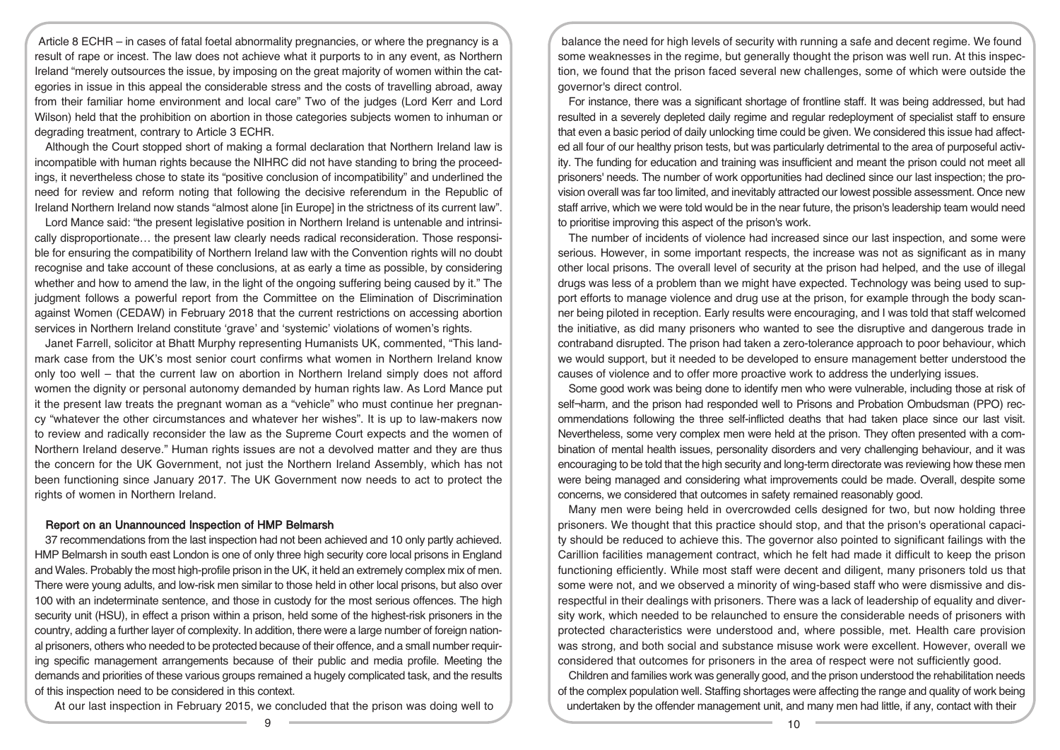Article 8 ECHR – in cases of fatal foetal abnormality pregnancies, or where the pregnancy is a result of rape or incest. The law does not achieve what it purports to in any event, as Northern Ireland "merely outsources the issue, by imposing on the great majority of women within the categories in issue in this appeal the considerable stress and the costs of travelling abroad, away from their familiar home environment and local care" Two of the judges (Lord Kerr and Lord Wilson) held that the prohibition on abortion in those categories subjects women to inhuman or degrading treatment, contrary to Article 3 ECHR.

Although the Court stopped short of making a formal declaration that Northern Ireland law is incompatible with human rights because the NIHRC did not have standing to bring the proceedings, it nevertheless chose to state its "positive conclusion of incompatibility" and underlined the need for review and reform noting that following the decisive referendum in the Republic of Ireland Northern Ireland now stands "almost alone [in Europe] in the strictness of its current law".

Lord Mance said: "the present legislative position in Northern Ireland is untenable and intrinsically disproportionate… the present law clearly needs radical reconsideration. Those responsible for ensuring the compatibility of Northern Ireland law with the Convention rights will no doubt recognise and take account of these conclusions, at as early a time as possible, by considering whether and how to amend the law, in the light of the ongoing suffering being caused by it." The judgment follows a powerful report from the Committee on the Elimination of Discrimination against Women (CEDAW) in February 2018 that the current restrictions on accessing abortion services in Northern Ireland constitute 'grave' and 'systemic' violations of women's rights.

Janet Farrell, solicitor at Bhatt Murphy representing Humanists UK, commented, "This landmark case from the UK's most senior court confirms what women in Northern Ireland know only too well – that the current law on abortion in Northern Ireland simply does not afford women the dignity or personal autonomy demanded by human rights law. As Lord Mance put it the present law treats the pregnant woman as a "vehicle" who must continue her pregnancy "whatever the other circumstances and whatever her wishes". It is up to law-makers now to review and radically reconsider the law as the Supreme Court expects and the women of Northern Ireland deserve." Human rights issues are not a devolved matter and they are thus the concern for the UK Government, not just the Northern Ireland Assembly, which has not been functioning since January 2017. The UK Government now needs to act to protect the rights of women in Northern Ireland.

#### Report on an Unannounced Inspection of HMP Belmarsh

37 recommendations from the last inspection had not been achieved and 10 only partly achieved. HMP Belmarsh in south east London is one of only three high security core local prisons in England and Wales. Probably the most high-profile prison in the UK, it held an extremely complex mix of men. There were young adults, and low-risk men similar to those held in other local prisons, but also over 100 with an indeterminate sentence, and those in custody for the most serious offences. The high security unit (HSU), in effect a prison within a prison, held some of the highest-risk prisoners in the country, adding a further layer of complexity. In addition, there were a large number of foreign national prisoners, others who needed to be protected because of their offence, and a small number requiring specific management arrangements because of their public and media profile. Meeting the demands and priorities of these various groups remained a hugely complicated task, and the results of this inspection need to be considered in this context.

At our last inspection in February 2015, we concluded that the prison was doing well to

balance the need for high levels of security with running a safe and decent regime. We found some weaknesses in the regime, but generally thought the prison was well run. At this inspection, we found that the prison faced several new challenges, some of which were outside the governor's direct control.

For instance, there was a significant shortage of frontline staff. It was being addressed, but had resulted in a severely depleted daily regime and regular redeployment of specialist staff to ensure that even a basic period of daily unlocking time could be given. We considered this issue had affected all four of our healthy prison tests, but was particularly detrimental to the area of purposeful activity. The funding for education and training was insufficient and meant the prison could not meet all prisoners' needs. The number of work opportunities had declined since our last inspection; the provision overall was far too limited, and inevitably attracted our lowest possible assessment. Once new staff arrive, which we were told would be in the near future, the prison's leadership team would need to prioritise improving this aspect of the prison's work.

The number of incidents of violence had increased since our last inspection, and some were serious. However, in some important respects, the increase was not as significant as in many other local prisons. The overall level of security at the prison had helped, and the use of illegal drugs was less of a problem than we might have expected. Technology was being used to support efforts to manage violence and drug use at the prison, for example through the body scanner being piloted in reception. Early results were encouraging, and I was told that staff welcomed the initiative, as did many prisoners who wanted to see the disruptive and dangerous trade in contraband disrupted. The prison had taken a zero-tolerance approach to poor behaviour, which we would support, but it needed to be developed to ensure management better understood the causes of violence and to offer more proactive work to address the underlying issues.

Some good work was being done to identify men who were vulnerable, including those at risk of self¬harm, and the prison had responded well to Prisons and Probation Ombudsman (PPO) recommendations following the three self-inflicted deaths that had taken place since our last visit. Nevertheless, some very complex men were held at the prison. They often presented with a combination of mental health issues, personality disorders and very challenging behaviour, and it was encouraging to be told that the high security and long-term directorate was reviewing how these men were being managed and considering what improvements could be made. Overall, despite some concerns, we considered that outcomes in safety remained reasonably good.

Many men were being held in overcrowded cells designed for two, but now holding three prisoners. We thought that this practice should stop, and that the prison's operational capacity should be reduced to achieve this. The governor also pointed to significant failings with the Carillion facilities management contract, which he felt had made it difficult to keep the prison functioning efficiently. While most staff were decent and diligent, many prisoners told us that some were not, and we observed a minority of wing-based staff who were dismissive and disrespectful in their dealings with prisoners. There was a lack of leadership of equality and diversity work, which needed to be relaunched to ensure the considerable needs of prisoners with protected characteristics were understood and, where possible, met. Health care provision was strong, and both social and substance misuse work were excellent. However, overall we considered that outcomes for prisoners in the area of respect were not sufficiently good.

Children and families work was generally good, and the prison understood the rehabilitation needs of the complex population well. Staffing shortages were affecting the range and quality of work being undertaken by the offender management unit, and many men had little, if any, contact with their